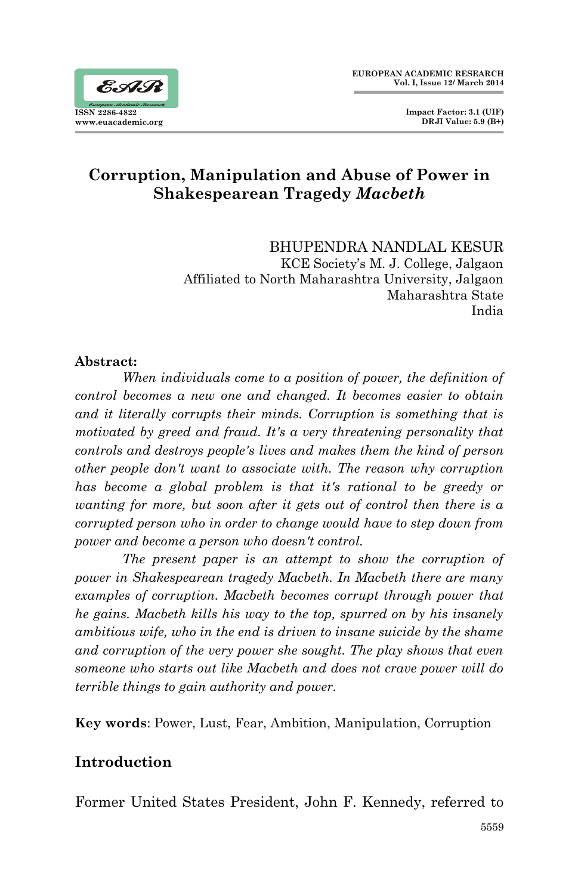# **Corruption, Manipulation and Abuse of Power in Shakespearean Tragedy** *Macbeth*

BHUPENDRA NANDLAL KESUR KCE Society's M. J. College, Jalgaon Affiliated to North Maharashtra University, Jalgaon Maharashtra State India

#### **Abstract:**

*When individuals come to a position of power, the definition of control becomes a new one and changed. It becomes easier to obtain and it literally corrupts their minds. Corruption is something that is motivated by greed and fraud. It's a very threatening personality that controls and destroys people's lives and makes them the kind of person other people don't want to associate with. The reason why corruption*  has become a global problem is that it's rational to be greedy or *wanting for more, but soon after it gets out of control then there is a corrupted person who in order to change would have to step down from power and become a person who doesn't control.*

*The present paper is an attempt to show the corruption of power in Shakespearean tragedy Macbeth. In Macbeth there are many examples of corruption. Macbeth becomes corrupt through power that he gains. Macbeth kills his way to the top, spurred on by his insanely ambitious wife, who in the end is driven to insane suicide by the shame and corruption of the very power she sought. The play shows that even someone who starts out like Macbeth and does not crave power will do terrible things to gain authority and power.*

**Key words**: Power, Lust, Fear, Ambition, Manipulation, Corruption

# **Introduction**

Former United States President, John F. Kennedy, referred to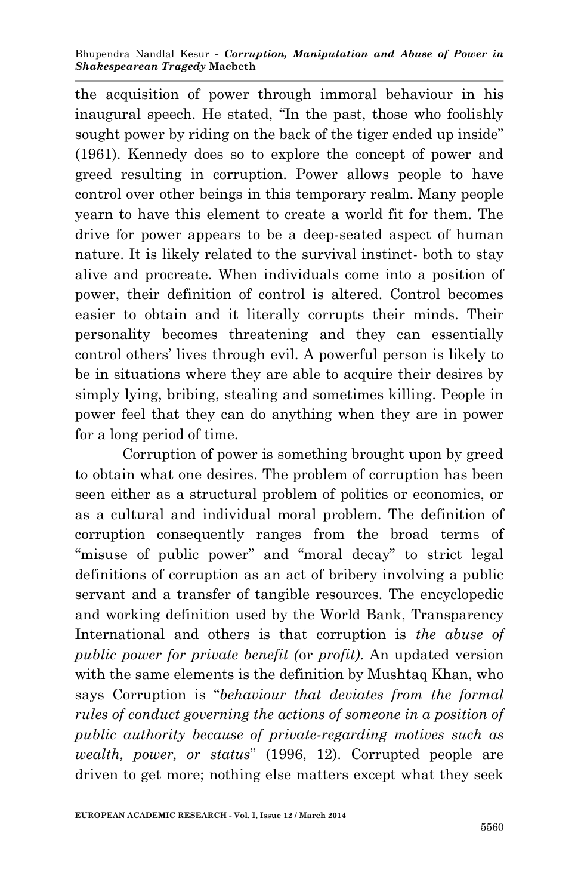the acquisition of power through immoral behaviour in his inaugural speech. He stated, "In the past, those who foolishly sought power by riding on the back of the tiger ended up inside" (1961). Kennedy does so to explore the concept of power and greed resulting in corruption. Power allows people to have control over other beings in this temporary realm. Many people yearn to have this element to create a world fit for them. The drive for power appears to be a deep-seated aspect of human nature. It is likely related to the survival instinct- both to stay alive and procreate. When individuals come into a position of power, their definition of control is altered. Control becomes easier to obtain and it literally corrupts their minds. Their personality becomes threatening and they can essentially control others' lives through evil. A powerful person is likely to be in situations where they are able to acquire their desires by simply lying, bribing, stealing and sometimes killing. People in power feel that they can do anything when they are in power for a long period of time.

Corruption of power is something brought upon by greed to obtain what one desires. The problem of corruption has been seen either as a structural problem of politics or economics, or as a cultural and individual moral problem. The definition of corruption consequently ranges from the broad terms of "misuse of public power" and "moral decay" to strict legal definitions of corruption as an act of bribery involving a public servant and a transfer of tangible resources. The encyclopedic and working definition used by the World Bank, Transparency International and others is that corruption is *the abuse of public power for private benefit (*or *profit)*. An updated version with the same elements is the definition by Mushtaq Khan, who says Corruption is "*behaviour that deviates from the formal rules of conduct governing the actions of someone in a position of public authority because of private-regarding motives such as wealth, power, or status*" (1996, 12). Corrupted people are driven to get more; nothing else matters except what they seek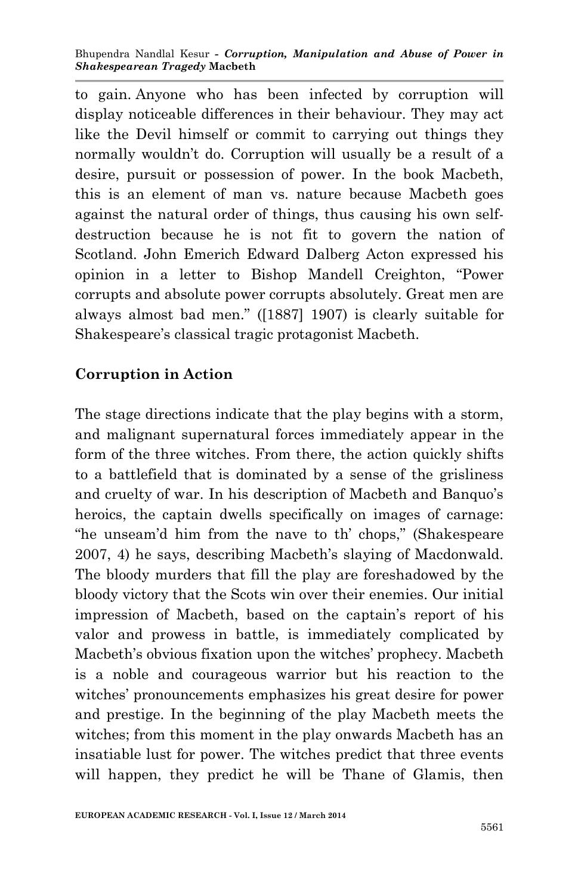to gain. Anyone who has been infected by corruption will display noticeable differences in their behaviour. They may act like the Devil himself or commit to carrying out things they normally wouldn't do. Corruption will usually be a result of a desire, pursuit or possession of power. In the book Macbeth, this is an element of man vs. nature because Macbeth goes against the natural order of things, thus causing his own selfdestruction because he is not fit to govern the nation of Scotland. John Emerich Edward Dalberg Acton expressed his opinion in a letter to Bishop Mandell Creighton, "Power corrupts and absolute power corrupts absolutely. Great men are always almost bad men." ([1887] 1907) is clearly suitable for Shakespeare's classical tragic protagonist Macbeth.

### **Corruption in Action**

The stage directions indicate that the play begins with a storm, and malignant supernatural forces immediately appear in the form of the three witches. From there, the action quickly shifts to a battlefield that is dominated by a sense of the grisliness and cruelty of war. In his description of Macbeth and Banquo's heroics, the captain dwells specifically on images of carnage: "he unseam'd him from the nave to th' chops," (Shakespeare 2007, 4) he says, describing Macbeth's slaying of Macdonwald. The bloody murders that fill the play are foreshadowed by the bloody victory that the Scots win over their enemies. Our initial impression of Macbeth, based on the captain's report of his valor and prowess in battle, is immediately complicated by Macbeth's obvious fixation upon the witches' prophecy. Macbeth is a noble and courageous warrior but his reaction to the witches' pronouncements emphasizes his great desire for power and prestige. In the beginning of the play Macbeth meets the witches; from this moment in the play onwards Macbeth has an insatiable lust for power. The witches predict that three events will happen, they predict he will be Thane of Glamis, then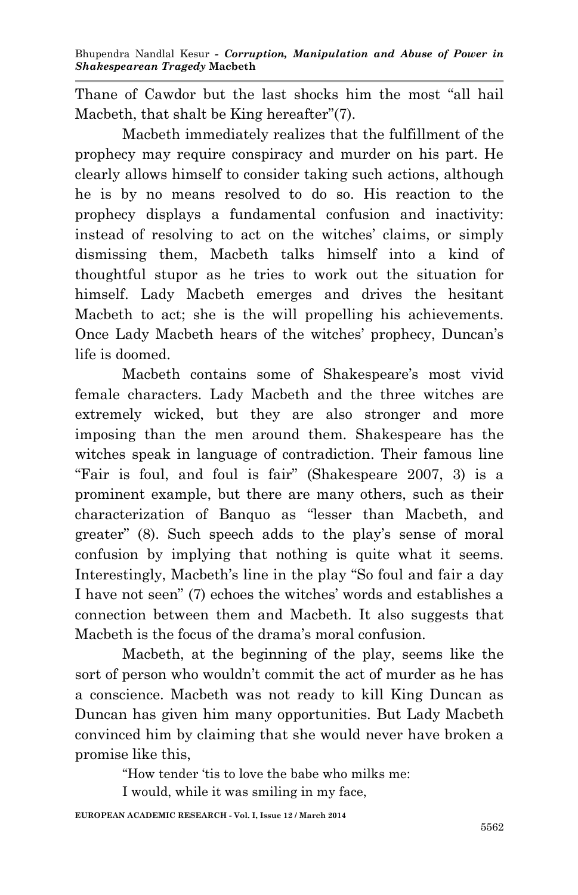Thane of Cawdor but the last shocks him the most "all hail Macbeth, that shalt be King hereafter"(7).

Macbeth immediately realizes that the fulfillment of the prophecy may require conspiracy and murder on his part. He clearly allows himself to consider taking such actions, although he is by no means resolved to do so. His reaction to the prophecy displays a fundamental confusion and inactivity: instead of resolving to act on the witches' claims, or simply dismissing them, Macbeth talks himself into a kind of thoughtful stupor as he tries to work out the situation for himself. Lady Macbeth emerges and drives the hesitant Macbeth to act; she is the will propelling his achievements. Once Lady Macbeth hears of the witches' prophecy, Duncan's life is doomed.

Macbeth contains some of Shakespeare's most vivid female characters. Lady Macbeth and the three witches are extremely wicked, but they are also stronger and more imposing than the men around them. Shakespeare has the witches speak in language of contradiction. Their famous line "Fair is foul, and foul is fair" (Shakespeare 2007, 3) is a prominent example, but there are many others, such as their characterization of Banquo as "lesser than Macbeth, and greater" (8). Such speech adds to the play's sense of moral confusion by implying that nothing is quite what it seems. Interestingly, Macbeth's line in the play "So foul and fair a day I have not seen" (7) echoes the witches' words and establishes a connection between them and Macbeth. It also suggests that Macbeth is the focus of the drama's moral confusion.

Macbeth, at the beginning of the play, seems like the sort of person who wouldn't commit the act of murder as he has a conscience. Macbeth was not ready to kill King Duncan as Duncan has given him many opportunities. But Lady Macbeth convinced him by claiming that she would never have broken a promise like this,

"How tender 'tis to love the babe who milks me:

I would, while it was smiling in my face,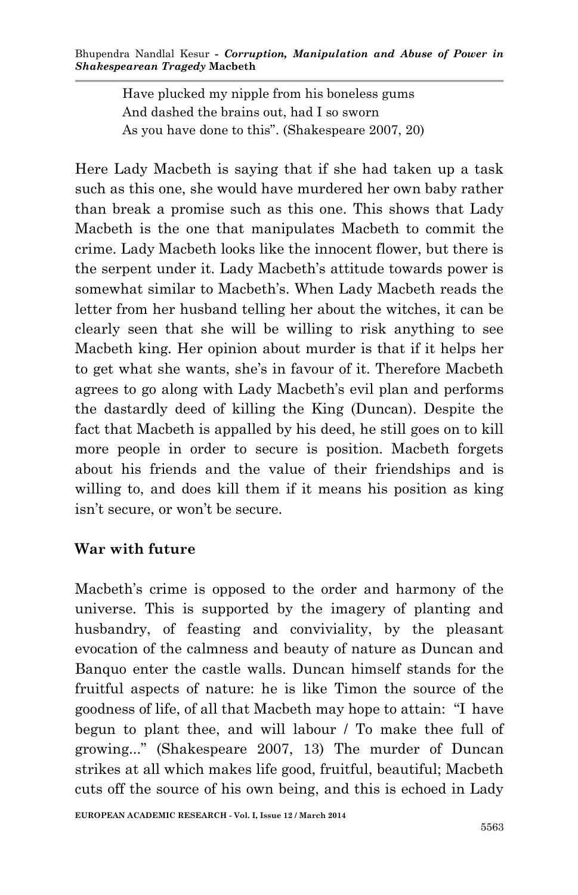Have plucked my nipple from his boneless gums And dashed the brains out, had I so sworn As you have done to this". (Shakespeare 2007, 20)

Here Lady Macbeth is saying that if she had taken up a task such as this one, she would have murdered her own baby rather than break a promise such as this one. This shows that Lady Macbeth is the one that manipulates Macbeth to commit the crime. Lady Macbeth looks like the innocent flower, but there is the serpent under it. Lady Macbeth's attitude towards power is somewhat similar to Macbeth's. When Lady Macbeth reads the letter from her husband telling her about the witches, it can be clearly seen that she will be willing to risk anything to see Macbeth king. Her opinion about murder is that if it helps her to get what she wants, she's in favour of it. Therefore Macbeth agrees to go along with Lady Macbeth's evil plan and performs the dastardly deed of killing the King (Duncan). Despite the fact that Macbeth is appalled by his deed, he still goes on to kill more people in order to secure is position. Macbeth forgets about his friends and the value of their friendships and is willing to, and does kill them if it means his position as king isn't secure, or won't be secure.

#### **War with future**

Macbeth's crime is opposed to the order and harmony of the universe. This is supported by the imagery of planting and husbandry, of feasting and conviviality, by the pleasant evocation of the calmness and beauty of nature as Duncan and Banquo enter the castle walls. Duncan himself stands for the fruitful aspects of nature: he is like Timon the source of the goodness of life, of all that Macbeth may hope to attain: "I have begun to plant thee, and will labour / To make thee full of growing..." (Shakespeare 2007, 13) The murder of Duncan strikes at all which makes life good, fruitful, beautiful; Macbeth cuts off the source of his own being, and this is echoed in Lady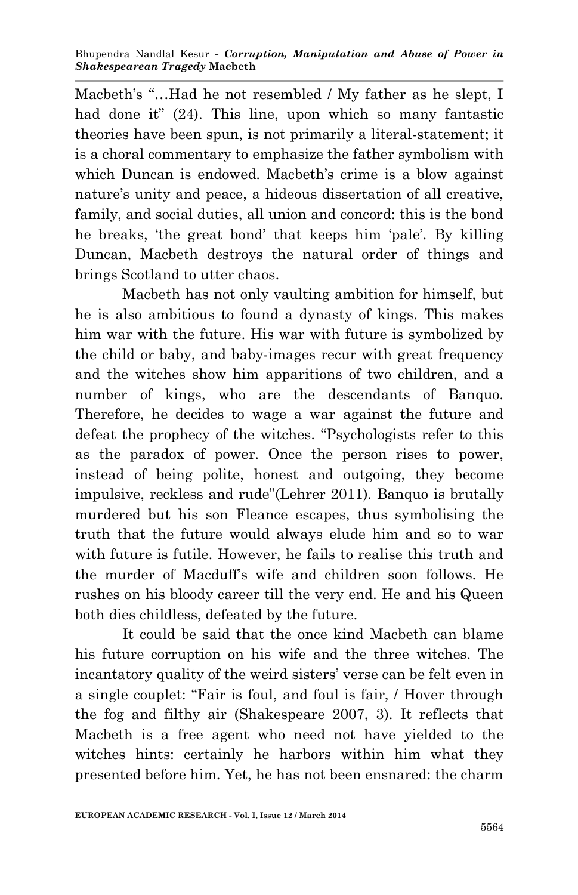Macbeth's "…Had he not resembled / My father as he slept, I had done it" (24). This line, upon which so many fantastic theories have been spun, is not primarily a literal-statement; it is a choral commentary to emphasize the father symbolism with which Duncan is endowed. Macbeth's crime is a blow against nature's unity and peace, a hideous dissertation of all creative, family, and social duties, all union and concord: this is the bond he breaks, 'the great bond' that keeps him 'pale'. By killing Duncan, Macbeth destroys the natural order of things and brings Scotland to utter chaos.

Macbeth has not only vaulting ambition for himself, but he is also ambitious to found a dynasty of kings. This makes him war with the future. His war with future is symbolized by the child or baby, and baby-images recur with great frequency and the witches show him apparitions of two children, and a number of kings, who are the descendants of Banquo. Therefore, he decides to wage a war against the future and defeat the prophecy of the witches. "Psychologists refer to this as the paradox of power. Once the person rises to power, instead of being polite, honest and outgoing, they become impulsive, reckless and rude"(Lehrer 2011). Banquo is brutally murdered but his son Fleance escapes, thus symbolising the truth that the future would always elude him and so to war with future is futile. However, he fails to realise this truth and the murder of Macduff's wife and children soon follows. He rushes on his bloody career till the very end. He and his Queen both dies childless, defeated by the future.

It could be said that the once kind Macbeth can blame his future corruption on his wife and the three witches. The incantatory quality of the weird sisters' verse can be felt even in a single couplet: "Fair is foul, and foul is fair, / Hover through the fog and filthy air (Shakespeare 2007, 3). It reflects that Macbeth is a free agent who need not have yielded to the witches hints: certainly he harbors within him what they presented before him. Yet, he has not been ensnared: the charm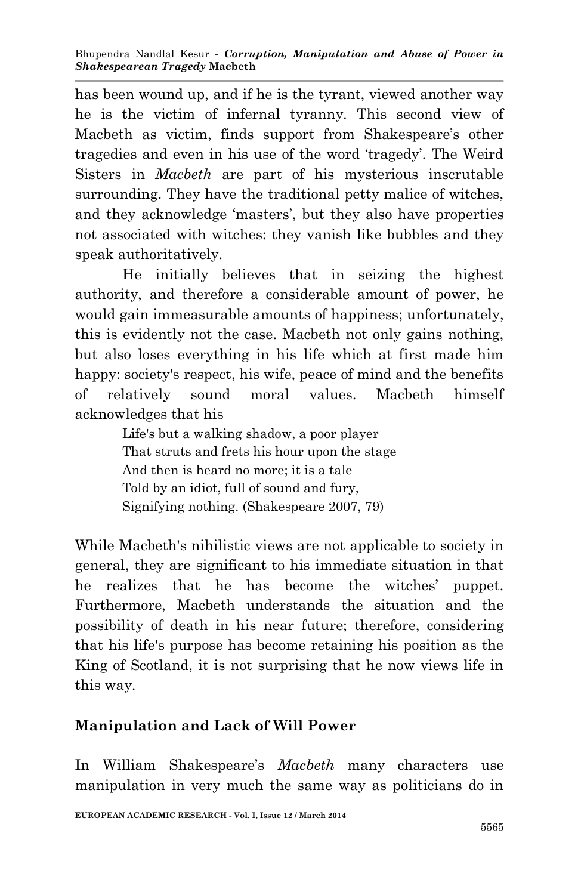has been wound up, and if he is the tyrant, viewed another way he is the victim of infernal tyranny. This second view of Macbeth as victim, finds support from Shakespeare's other tragedies and even in his use of the word 'tragedy'. The Weird Sisters in *Macbeth* are part of his mysterious inscrutable surrounding. They have the traditional petty malice of witches, and they acknowledge 'masters', but they also have properties not associated with witches: they vanish like bubbles and they speak authoritatively.

He initially believes that in seizing the highest authority, and therefore a considerable amount of power, he would gain immeasurable amounts of happiness; unfortunately, this is evidently not the case. Macbeth not only gains nothing, but also loses everything in his life which at first made him happy: society's respect, his wife, peace of mind and the benefits of relatively sound moral values. Macbeth himself acknowledges that his

> Life's but a walking shadow, a poor player That struts and frets his hour upon the stage And then is heard no more; it is a tale Told by an idiot, full of sound and fury, Signifying nothing. (Shakespeare 2007, 79)

While Macbeth's nihilistic views are not applicable to society in general, they are significant to his immediate situation in that he realizes that he has become the witches' puppet. Furthermore, Macbeth understands the situation and the possibility of death in his near future; therefore, considering that his life's purpose has become retaining his position as the King of Scotland, it is not surprising that he now views life in this way.

## **Manipulation and Lack of Will Power**

In William Shakespeare's *Macbeth* many characters use manipulation in very much the same way as politicians do in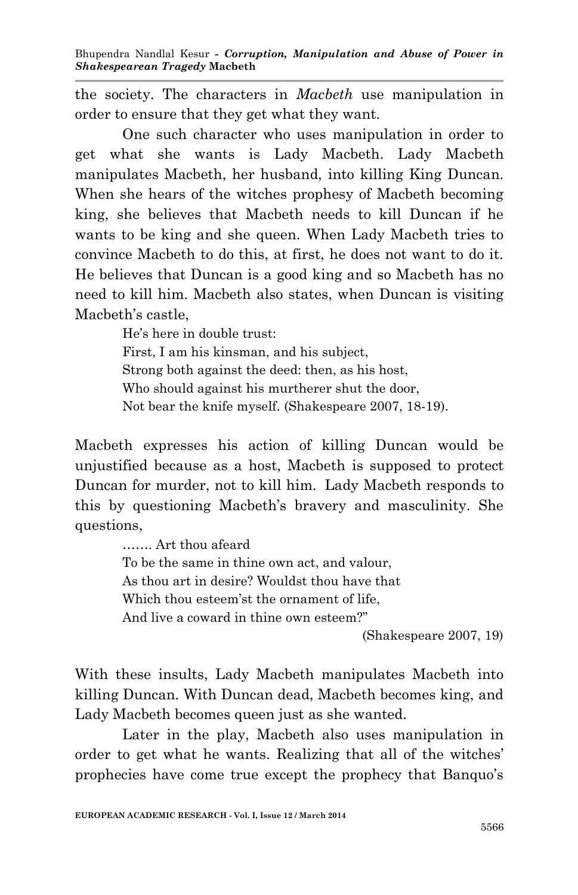the society. The characters in *Macbeth* use manipulation in order to ensure that they get what they want.

One such character who uses manipulation in order to get what she wants is Lady Macbeth. Lady Macbeth manipulates Macbeth, her husband, into killing King Duncan. When she hears of the witches prophesy of Macbeth becoming king, she believes that Macbeth needs to kill Duncan if he wants to be king and she queen. When Lady Macbeth tries to convince Macbeth to do this, at first, he does not want to do it. He believes that Duncan is a good king and so Macbeth has no need to kill him. Macbeth also states, when Duncan is visiting Macbeth's castle,

> He's here in double trust: First, I am his kinsman, and his subject, Strong both against the deed: then, as his host, Who should against his murtherer shut the door, Not bear the knife myself. (Shakespeare 2007, 18-19).

Macbeth expresses his action of killing Duncan would be unjustified because as a host, Macbeth is supposed to protect Duncan for murder, not to kill him. Lady Macbeth responds to this by questioning Macbeth's bravery and masculinity. She questions,

> ……. Art thou afeard To be the same in thine own act, and valour, As thou art in desire? Wouldst thou have that Which thou esteem'st the ornament of life, And live a coward in thine own esteem?"

(Shakespeare 2007, 19)

With these insults, Lady Macbeth manipulates Macbeth into killing Duncan. With Duncan dead, Macbeth becomes king, and Lady Macbeth becomes queen just as she wanted.

Later in the play, Macbeth also uses manipulation in order to get what he wants. Realizing that all of the witches' prophecies have come true except the prophecy that Banquo's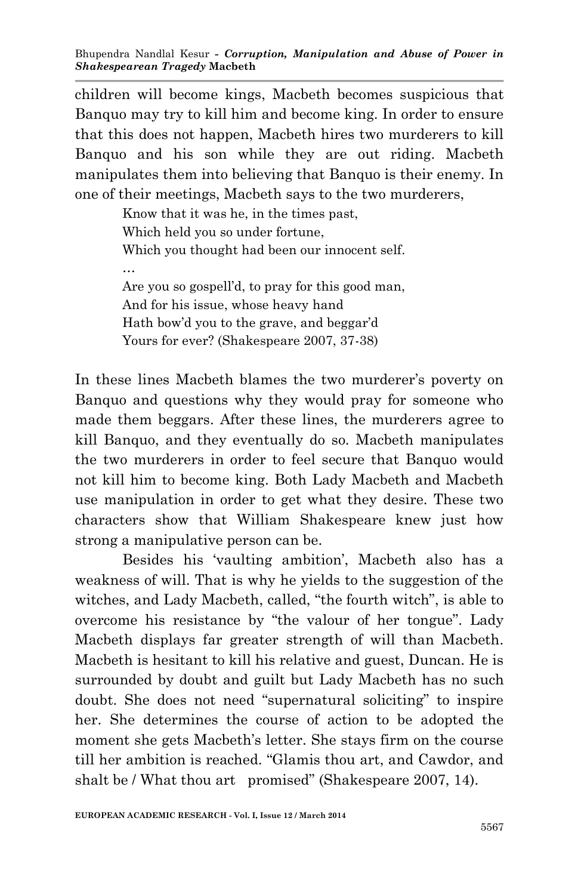children will become kings, Macbeth becomes suspicious that Banquo may try to kill him and become king. In order to ensure that this does not happen, Macbeth hires two murderers to kill Banquo and his son while they are out riding. Macbeth manipulates them into believing that Banquo is their enemy. In one of their meetings, Macbeth says to the two murderers,

> Know that it was he, in the times past, Which held you so under fortune, Which you thought had been our innocent self. … Are you so gospell'd, to pray for this good man, And for his issue, whose heavy hand Hath bow'd you to the grave, and beggar'd Yours for ever? (Shakespeare 2007, 37-38)

In these lines Macbeth blames the two murderer's poverty on Banquo and questions why they would pray for someone who made them beggars. After these lines, the murderers agree to kill Banquo, and they eventually do so. Macbeth manipulates the two murderers in order to feel secure that Banquo would not kill him to become king. Both Lady Macbeth and Macbeth use manipulation in order to get what they desire. These two characters show that William Shakespeare knew just how strong a manipulative person can be.

Besides his 'vaulting ambition', Macbeth also has a weakness of will. That is why he yields to the suggestion of the witches, and Lady Macbeth, called, "the fourth witch", is able to overcome his resistance by "the valour of her tongue". Lady Macbeth displays far greater strength of will than Macbeth. Macbeth is hesitant to kill his relative and guest, Duncan. He is surrounded by doubt and guilt but Lady Macbeth has no such doubt. She does not need "supernatural soliciting" to inspire her. She determines the course of action to be adopted the moment she gets Macbeth's letter. She stays firm on the course till her ambition is reached. "Glamis thou art, and Cawdor, and shalt be / What thou art promised" (Shakespeare 2007, 14).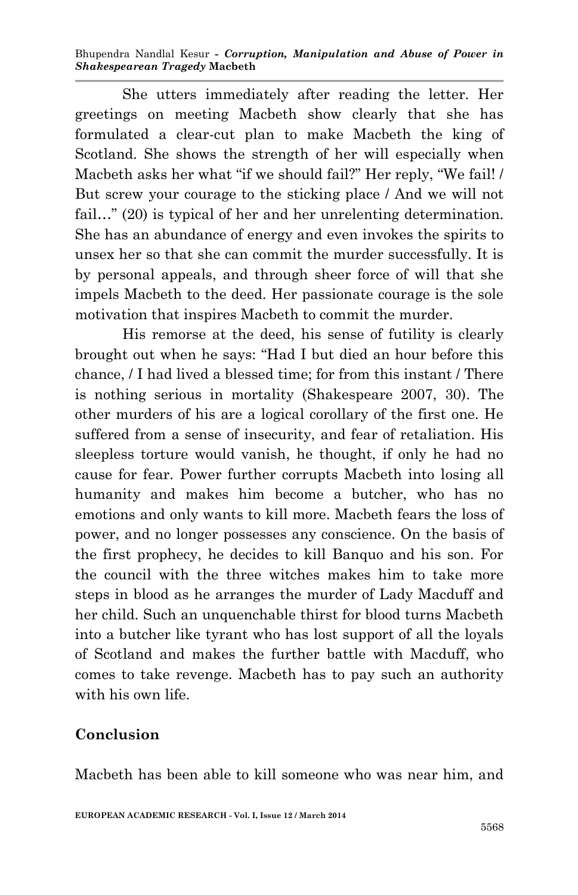Bhupendra Nandlal Kesur *- Corruption, Manipulation and Abuse of Power in Shakespearean Tragedy* **Macbeth**

She utters immediately after reading the letter. Her greetings on meeting Macbeth show clearly that she has formulated a clear-cut plan to make Macbeth the king of Scotland. She shows the strength of her will especially when Macbeth asks her what "if we should fail?" Her reply, "We fail! / But screw your courage to the sticking place / And we will not fail…" (20) is typical of her and her unrelenting determination. She has an abundance of energy and even invokes the spirits to unsex her so that she can commit the murder successfully. It is by personal appeals, and through sheer force of will that she impels Macbeth to the deed. Her passionate courage is the sole motivation that inspires Macbeth to commit the murder.

His remorse at the deed, his sense of futility is clearly brought out when he says: "Had I but died an hour before this chance, / I had lived a blessed time; for from this instant / There is nothing serious in mortality (Shakespeare 2007, 30). The other murders of his are a logical corollary of the first one. He suffered from a sense of insecurity, and fear of retaliation. His sleepless torture would vanish, he thought, if only he had no cause for fear. Power further corrupts Macbeth into losing all humanity and makes him become a butcher, who has no emotions and only wants to kill more. Macbeth fears the loss of power, and no longer possesses any conscience. On the basis of the first prophecy, he decides to kill Banquo and his son. For the council with the three witches makes him to take more steps in blood as he arranges the murder of Lady Macduff and her child. Such an unquenchable thirst for blood turns Macbeth into a butcher like tyrant who has lost support of all the loyals of Scotland and makes the further battle with Macduff, who comes to take revenge. Macbeth has to pay such an authority with his own life.

#### **Conclusion**

Macbeth has been able to kill someone who was near him, and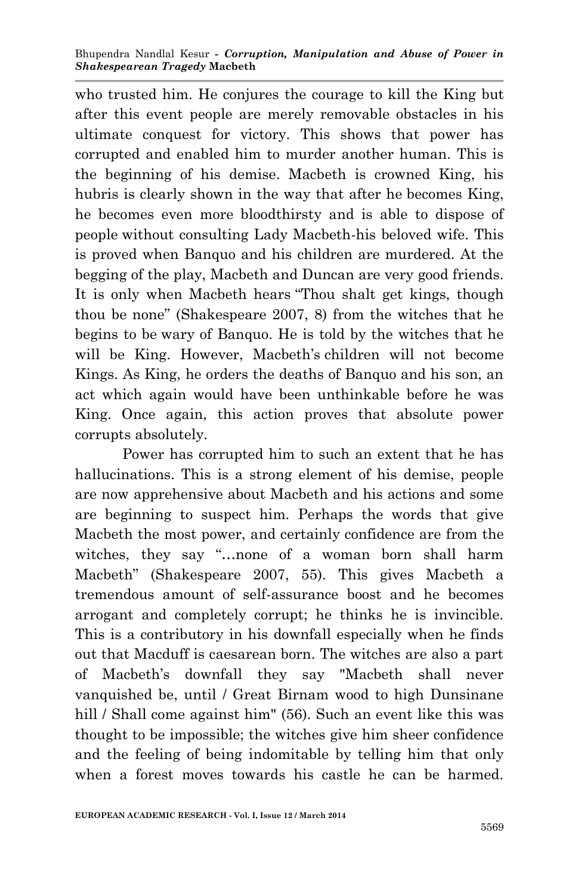who trusted him. He conjures the courage to kill the King but after this event people are merely removable obstacles in his ultimate conquest for victory. This shows that power has corrupted and enabled him to murder another human. This is the beginning of his demise. Macbeth is crowned King, his hubris is clearly shown in the way that after he becomes King, he becomes even more bloodthirsty and is able to dispose of people without consulting Lady Macbeth-his beloved wife. This is proved when Banquo and his children are murdered. At the begging of the play, Macbeth and Duncan are very good friends. It is only when Macbeth hears "Thou shalt get kings, though thou be none" (Shakespeare 2007, 8) from the witches that he begins to be wary of Banquo. He is told by the witches that he will be King. However, Macbeth's children will not become Kings. As King, he orders the deaths of Banquo and his son, an act which again would have been unthinkable before he was King. Once again, this action proves that absolute power corrupts absolutely.

Power has corrupted him to such an extent that he has hallucinations. This is a strong element of his demise, people are now apprehensive about Macbeth and his actions and some are beginning to suspect him. Perhaps the words that give Macbeth the most power, and certainly confidence are from the witches, they say "…none of a woman born shall harm Macbeth" (Shakespeare 2007, 55). This gives Macbeth a tremendous amount of self-assurance boost and he becomes arrogant and completely corrupt; he thinks he is invincible. This is a contributory in his downfall especially when he finds out that Macduff is caesarean born. The witches are also a part of Macbeth's downfall they say "Macbeth shall never vanquished be, until / Great Birnam wood to high Dunsinane hill / Shall come against him" (56). Such an event like this was thought to be impossible; the witches give him sheer confidence and the feeling of being indomitable by telling him that only when a forest moves towards his castle he can be harmed.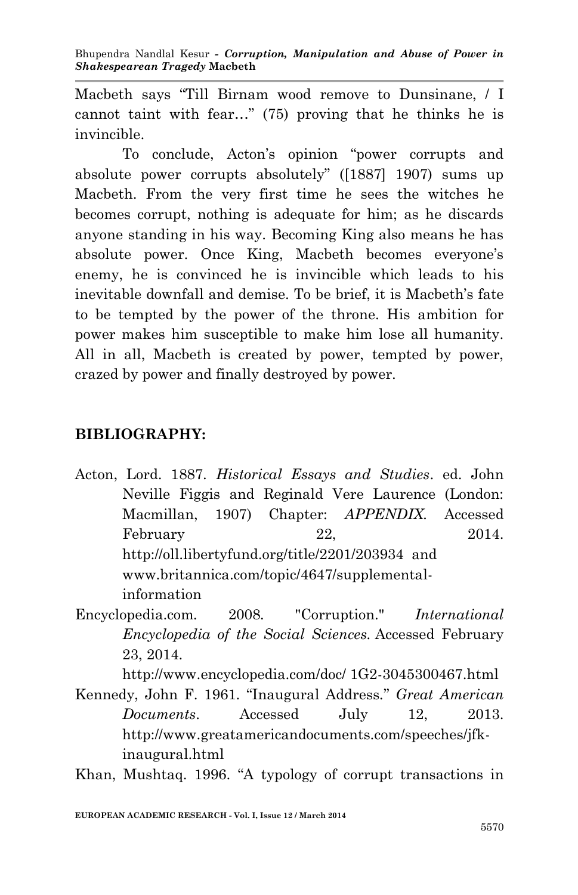Macbeth says "Till Birnam wood remove to Dunsinane, / I cannot taint with fear…" (75) proving that he thinks he is invincible.

To conclude, Acton's opinion "power corrupts and absolute power corrupts absolutely" ([1887] 1907) sums up Macbeth. From the very first time he sees the witches he becomes corrupt, nothing is adequate for him; as he discards anyone standing in his way. Becoming King also means he has absolute power. Once King, Macbeth becomes everyone's enemy, he is convinced he is invincible which leads to his inevitable downfall and demise. To be brief, it is Macbeth's fate to be tempted by the power of the throne. His ambition for power makes him susceptible to make him lose all humanity. All in all, Macbeth is created by power, tempted by power, crazed by power and finally destroyed by power.

## **BIBLIOGRAPHY:**

- Acton, Lord. 1887. *Historical Essays and Studies*. ed. John Neville Figgis and Reginald Vere Laurence (London: Macmillan, 1907) Chapter: *APPENDIX.* Accessed February 22, 2014. http://oll.libertyfund.org/title/2201/203934 and www.britannica.com/topic/4647/supplementalinformation
- Encyclopedia.com*.* 2008*.* "Corruption." *International Encyclopedia of the Social Sciences.* Accessed February 23, 2014.

http://www.encyclopedia.com/doc/ 1G2-3045300467.html

Kennedy, John F. 1961. "Inaugural Address*.*" *Great American Documents*. Accessed July 12, 2013. http://www.greatamericandocuments.com/speeches/jfkinaugural.html

Khan, Mushtaq. 1996. "A typology of corrupt transactions in